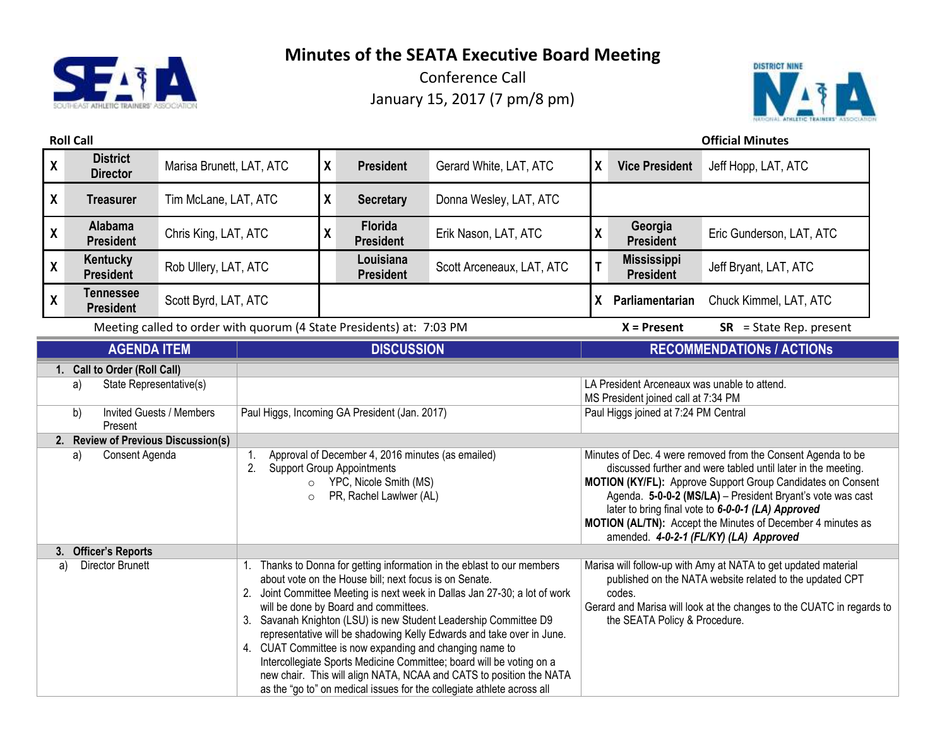



|                                                                                                                                                                                  | <b>Roll Call</b>                     |                          |                                                                                                                                                                                                                                                                                                                                                                                                                                                                                                                                                                                                                                                                                           |                    |                                                                                                                                                                                              |                                                                                                                                                                                                                                                |                    |                                                                                                                             | <b>Official Minutes</b>                                                                                                                                                                                                                                                                                                                                                                                                   |  |
|----------------------------------------------------------------------------------------------------------------------------------------------------------------------------------|--------------------------------------|--------------------------|-------------------------------------------------------------------------------------------------------------------------------------------------------------------------------------------------------------------------------------------------------------------------------------------------------------------------------------------------------------------------------------------------------------------------------------------------------------------------------------------------------------------------------------------------------------------------------------------------------------------------------------------------------------------------------------------|--------------------|----------------------------------------------------------------------------------------------------------------------------------------------------------------------------------------------|------------------------------------------------------------------------------------------------------------------------------------------------------------------------------------------------------------------------------------------------|--------------------|-----------------------------------------------------------------------------------------------------------------------------|---------------------------------------------------------------------------------------------------------------------------------------------------------------------------------------------------------------------------------------------------------------------------------------------------------------------------------------------------------------------------------------------------------------------------|--|
| $\boldsymbol{\mathsf{X}}$                                                                                                                                                        | <b>District</b><br><b>Director</b>   | Marisa Brunett, LAT, ATC |                                                                                                                                                                                                                                                                                                                                                                                                                                                                                                                                                                                                                                                                                           | X                  | <b>President</b>                                                                                                                                                                             | Gerard White, LAT, ATC                                                                                                                                                                                                                         | $\boldsymbol{X}$   | <b>Vice President</b>                                                                                                       | Jeff Hopp, LAT, ATC                                                                                                                                                                                                                                                                                                                                                                                                       |  |
| $\boldsymbol{X}$                                                                                                                                                                 | <b>Treasurer</b>                     | Tim McLane, LAT, ATC     |                                                                                                                                                                                                                                                                                                                                                                                                                                                                                                                                                                                                                                                                                           | X                  | <b>Secretary</b>                                                                                                                                                                             | Donna Wesley, LAT, ATC                                                                                                                                                                                                                         |                    |                                                                                                                             |                                                                                                                                                                                                                                                                                                                                                                                                                           |  |
| $\boldsymbol{\mathsf{X}}$                                                                                                                                                        | Alabama<br><b>President</b>          | Chris King, LAT, ATC     |                                                                                                                                                                                                                                                                                                                                                                                                                                                                                                                                                                                                                                                                                           | $\pmb{\mathsf{X}}$ | Florida<br><b>President</b>                                                                                                                                                                  | Erik Nason, LAT, ATC                                                                                                                                                                                                                           | $\pmb{\mathsf{X}}$ | Georgia<br><b>President</b>                                                                                                 | Eric Gunderson, LAT, ATC                                                                                                                                                                                                                                                                                                                                                                                                  |  |
| $\pmb{\mathsf{X}}$                                                                                                                                                               | Kentucky<br><b>President</b>         | Rob Ullery, LAT, ATC     |                                                                                                                                                                                                                                                                                                                                                                                                                                                                                                                                                                                                                                                                                           |                    | Louisiana<br><b>President</b>                                                                                                                                                                | Scott Arceneaux, LAT, ATC                                                                                                                                                                                                                      | T                  | <b>Mississippi</b><br><b>President</b>                                                                                      | Jeff Bryant, LAT, ATC                                                                                                                                                                                                                                                                                                                                                                                                     |  |
| $\boldsymbol{\mathsf{X}}$                                                                                                                                                        | <b>Tennessee</b><br><b>President</b> | Scott Byrd, LAT, ATC     |                                                                                                                                                                                                                                                                                                                                                                                                                                                                                                                                                                                                                                                                                           |                    |                                                                                                                                                                                              |                                                                                                                                                                                                                                                | X                  | Parliamentarian                                                                                                             | Chuck Kimmel, LAT, ATC                                                                                                                                                                                                                                                                                                                                                                                                    |  |
|                                                                                                                                                                                  |                                      |                          | Meeting called to order with quorum (4 State Presidents) at: 7:03 PM                                                                                                                                                                                                                                                                                                                                                                                                                                                                                                                                                                                                                      |                    |                                                                                                                                                                                              |                                                                                                                                                                                                                                                | $X =$ Present      | $SR = State Rep. present$                                                                                                   |                                                                                                                                                                                                                                                                                                                                                                                                                           |  |
|                                                                                                                                                                                  | <b>AGENDA ITEM</b>                   |                          | <b>DISCUSSION</b>                                                                                                                                                                                                                                                                                                                                                                                                                                                                                                                                                                                                                                                                         |                    |                                                                                                                                                                                              |                                                                                                                                                                                                                                                |                    | <b>RECOMMENDATIONS / ACTIONS</b>                                                                                            |                                                                                                                                                                                                                                                                                                                                                                                                                           |  |
| 1. Call to Order (Roll Call)<br>State Representative(s)<br>a)<br><b>Invited Guests / Members</b><br>b)<br>Present<br>2. Review of Previous Discussion(s)<br>Consent Agenda<br>a) |                                      |                          | 1.<br>2.<br>$\circ$<br>$\circ$                                                                                                                                                                                                                                                                                                                                                                                                                                                                                                                                                                                                                                                            |                    | Paul Higgs, Incoming GA President (Jan. 2017)<br>Approval of December 4, 2016 minutes (as emailed)<br><b>Support Group Appointments</b><br>YPC, Nicole Smith (MS)<br>PR, Rachel Lawlwer (AL) |                                                                                                                                                                                                                                                |                    | LA President Arceneaux was unable to attend.<br>MS President joined call at 7:34 PM<br>Paul Higgs joined at 7:24 PM Central | Minutes of Dec. 4 were removed from the Consent Agenda to be<br>discussed further and were tabled until later in the meeting.<br>MOTION (KY/FL): Approve Support Group Candidates on Consent<br>Agenda. 5-0-0-2 (MS/LA) - President Bryant's vote was cast<br>later to bring final vote to 6-0-0-1 (LA) Approved<br>MOTION (AL/TN): Accept the Minutes of December 4 minutes as<br>amended. 4-0-2-1 (FL/KY) (LA) Approved |  |
| 3. Officer's Reports<br><b>Director Brunett</b><br>a)                                                                                                                            |                                      |                          | 1. Thanks to Donna for getting information in the eblast to our members<br>about vote on the House bill; next focus is on Senate.<br>2. Joint Committee Meeting is next week in Dallas Jan 27-30; a lot of work<br>will be done by Board and committees.<br>3. Savanah Knighton (LSU) is new Student Leadership Committee D9<br>representative will be shadowing Kelly Edwards and take over in June.<br>4. CUAT Committee is now expanding and changing name to<br>Intercollegiate Sports Medicine Committee; board will be voting on a<br>new chair. This will align NATA, NCAA and CATS to position the NATA<br>as the "go to" on medical issues for the collegiate athlete across all |                    |                                                                                                                                                                                              | Marisa will follow-up with Amy at NATA to get updated material<br>published on the NATA website related to the updated CPT<br>codes.<br>Gerard and Marisa will look at the changes to the CUATC in regards to<br>the SEATA Policy & Procedure. |                    |                                                                                                                             |                                                                                                                                                                                                                                                                                                                                                                                                                           |  |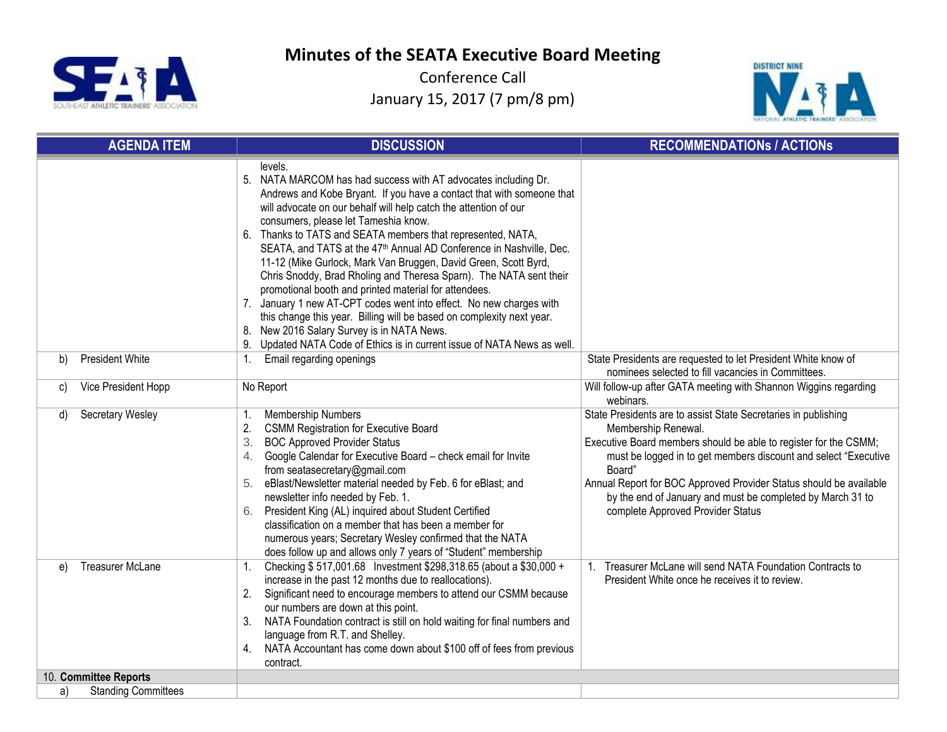



|    | <b>AGENDA ITEM</b>         | <b>DISCUSSION</b>                                                                                                                                                                                                                                                                                                                                                                                                                                                                                                                                                                                                                                                                                                                                                                                                                                                                                  | <b>RECOMMENDATIONS / ACTIONS</b>                                                                                                                                                                                                                                                                                                                                                                                |
|----|----------------------------|----------------------------------------------------------------------------------------------------------------------------------------------------------------------------------------------------------------------------------------------------------------------------------------------------------------------------------------------------------------------------------------------------------------------------------------------------------------------------------------------------------------------------------------------------------------------------------------------------------------------------------------------------------------------------------------------------------------------------------------------------------------------------------------------------------------------------------------------------------------------------------------------------|-----------------------------------------------------------------------------------------------------------------------------------------------------------------------------------------------------------------------------------------------------------------------------------------------------------------------------------------------------------------------------------------------------------------|
|    |                            | levels.<br>5. NATA MARCOM has had success with AT advocates including Dr.<br>Andrews and Kobe Bryant. If you have a contact that with someone that<br>will advocate on our behalf will help catch the attention of our<br>consumers, please let Tameshia know.<br>Thanks to TATS and SEATA members that represented, NATA,<br>6.<br>SEATA, and TATS at the 47 <sup>th</sup> Annual AD Conference in Nashville, Dec.<br>11-12 (Mike Gurlock, Mark Van Bruggen, David Green, Scott Byrd,<br>Chris Snoddy, Brad Rholing and Theresa Sparn). The NATA sent their<br>promotional booth and printed material for attendees.<br>7. January 1 new AT-CPT codes went into effect. No new charges with<br>this change this year. Billing will be based on complexity next year.<br>New 2016 Salary Survey is in NATA News.<br>8.<br>9. Updated NATA Code of Ethics is in current issue of NATA News as well. |                                                                                                                                                                                                                                                                                                                                                                                                                 |
| b) | <b>President White</b>     | Email regarding openings<br>1.                                                                                                                                                                                                                                                                                                                                                                                                                                                                                                                                                                                                                                                                                                                                                                                                                                                                     | State Presidents are requested to let President White know of<br>nominees selected to fill vacancies in Committees.                                                                                                                                                                                                                                                                                             |
| C) | Vice President Hopp        | No Report                                                                                                                                                                                                                                                                                                                                                                                                                                                                                                                                                                                                                                                                                                                                                                                                                                                                                          | Will follow-up after GATA meeting with Shannon Wiggins regarding<br>webinars.                                                                                                                                                                                                                                                                                                                                   |
| d) | Secretary Wesley           | Membership Numbers<br>1.<br>2.<br><b>CSMM Registration for Executive Board</b><br>3.<br><b>BOC Approved Provider Status</b><br>Google Calendar for Executive Board - check email for Invite<br>4.<br>from seatasecretary@gmail.com<br>eBlast/Newsletter material needed by Feb. 6 for eBlast; and<br>newsletter info needed by Feb. 1.<br>President King (AL) inquired about Student Certified<br>6.<br>classification on a member that has been a member for<br>numerous years; Secretary Wesley confirmed that the NATA<br>does follow up and allows only 7 years of "Student" membership                                                                                                                                                                                                                                                                                                        | State Presidents are to assist State Secretaries in publishing<br>Membership Renewal.<br>Executive Board members should be able to register for the CSMM;<br>must be logged in to get members discount and select "Executive<br>Board"<br>Annual Report for BOC Approved Provider Status should be available<br>by the end of January and must be completed by March 31 to<br>complete Approved Provider Status |
| e) | <b>Treasurer McLane</b>    | Checking \$517,001.68 Investment \$298,318.65 (about a \$30,000 +<br>1.<br>increase in the past 12 months due to reallocations).<br>2.<br>Significant need to encourage members to attend our CSMM because<br>our numbers are down at this point.<br>NATA Foundation contract is still on hold waiting for final numbers and<br>3.<br>language from R.T. and Shelley.<br>NATA Accountant has come down about \$100 off of fees from previous<br>contract.                                                                                                                                                                                                                                                                                                                                                                                                                                          | 1. Treasurer McLane will send NATA Foundation Contracts to<br>President White once he receives it to review.                                                                                                                                                                                                                                                                                                    |
|    | 10. Committee Reports      |                                                                                                                                                                                                                                                                                                                                                                                                                                                                                                                                                                                                                                                                                                                                                                                                                                                                                                    |                                                                                                                                                                                                                                                                                                                                                                                                                 |
| a) | <b>Standing Committees</b> |                                                                                                                                                                                                                                                                                                                                                                                                                                                                                                                                                                                                                                                                                                                                                                                                                                                                                                    |                                                                                                                                                                                                                                                                                                                                                                                                                 |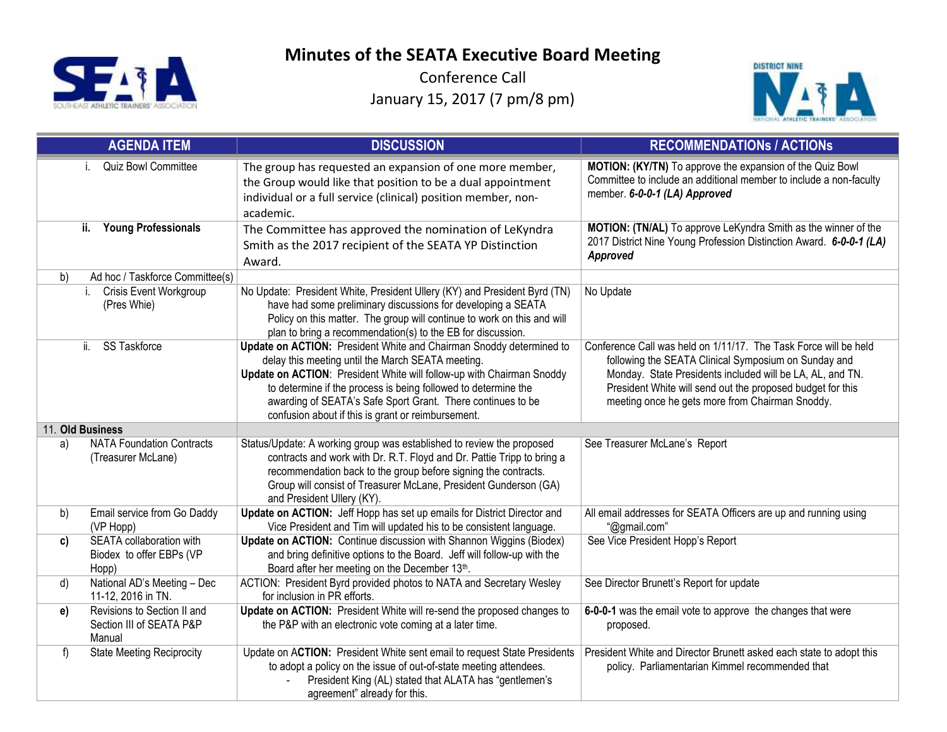



|                  | <b>AGENDA ITEM</b>                                                | <b>DISCUSSION</b>                                                                                                                                                                                                                                                                                                                                                                        | <b>RECOMMENDATIONS / ACTIONS</b>                                                                                                                                                                                                                                                                       |
|------------------|-------------------------------------------------------------------|------------------------------------------------------------------------------------------------------------------------------------------------------------------------------------------------------------------------------------------------------------------------------------------------------------------------------------------------------------------------------------------|--------------------------------------------------------------------------------------------------------------------------------------------------------------------------------------------------------------------------------------------------------------------------------------------------------|
|                  | Quiz Bowl Committee                                               | The group has requested an expansion of one more member,<br>the Group would like that position to be a dual appointment<br>individual or a full service (clinical) position member, non-<br>academic.                                                                                                                                                                                    | MOTION: (KY/TN) To approve the expansion of the Quiz Bowl<br>Committee to include an additional member to include a non-faculty<br>member. 6-0-0-1 (LA) Approved                                                                                                                                       |
|                  | ii.<br><b>Young Professionals</b>                                 | The Committee has approved the nomination of LeKyndra<br>Smith as the 2017 recipient of the SEATA YP Distinction<br>Award.                                                                                                                                                                                                                                                               | MOTION: (TN/AL) To approve LeKyndra Smith as the winner of the<br>2017 District Nine Young Profession Distinction Award. 6-0-0-1 (LA)<br>Approved                                                                                                                                                      |
| b)               | Ad hoc / Taskforce Committee(s)                                   |                                                                                                                                                                                                                                                                                                                                                                                          |                                                                                                                                                                                                                                                                                                        |
|                  | <b>Crisis Event Workgroup</b><br>i.<br>(Pres Whie)                | No Update: President White, President Ullery (KY) and President Byrd (TN)<br>have had some preliminary discussions for developing a SEATA<br>Policy on this matter. The group will continue to work on this and will<br>plan to bring a recommendation(s) to the EB for discussion.                                                                                                      | No Update                                                                                                                                                                                                                                                                                              |
|                  | SS Taskforce<br>ii.                                               | Update on ACTION: President White and Chairman Snoddy determined to<br>delay this meeting until the March SEATA meeting.<br>Update on ACTION: President White will follow-up with Chairman Snoddy<br>to determine if the process is being followed to determine the<br>awarding of SEATA's Safe Sport Grant. There continues to be<br>confusion about if this is grant or reimbursement. | Conference Call was held on 1/11/17. The Task Force will be held<br>following the SEATA Clinical Symposium on Sunday and<br>Monday. State Presidents included will be LA, AL, and TN.<br>President White will send out the proposed budget for this<br>meeting once he gets more from Chairman Snoddy. |
| 11. Old Business |                                                                   |                                                                                                                                                                                                                                                                                                                                                                                          |                                                                                                                                                                                                                                                                                                        |
| a)               | <b>NATA Foundation Contracts</b><br>(Treasurer McLane)            | Status/Update: A working group was established to review the proposed<br>contracts and work with Dr. R.T. Floyd and Dr. Pattie Tripp to bring a<br>recommendation back to the group before signing the contracts.<br>Group will consist of Treasurer McLane, President Gunderson (GA)<br>and President Ullery (KY).                                                                      | See Treasurer McLane's Report                                                                                                                                                                                                                                                                          |
| b)               | Email service from Go Daddy<br>(VP Hopp)                          | Update on ACTION: Jeff Hopp has set up emails for District Director and<br>Vice President and Tim will updated his to be consistent language.                                                                                                                                                                                                                                            | All email addresses for SEATA Officers are up and running using<br>"@gmail.com"                                                                                                                                                                                                                        |
| c)               | SEATA collaboration with<br>Biodex to offer EBPs (VP<br>Hopp)     | Update on ACTION: Continue discussion with Shannon Wiggins (Biodex)<br>and bring definitive options to the Board. Jeff will follow-up with the<br>Board after her meeting on the December 13th.                                                                                                                                                                                          | See Vice President Hopp's Report                                                                                                                                                                                                                                                                       |
| d)               | National AD's Meeting - Dec<br>11-12, 2016 in TN.                 | ACTION: President Byrd provided photos to NATA and Secretary Wesley<br>for inclusion in PR efforts.                                                                                                                                                                                                                                                                                      | See Director Brunett's Report for update                                                                                                                                                                                                                                                               |
| e)               | Revisions to Section II and<br>Section III of SEATA P&P<br>Manual | Update on ACTION: President White will re-send the proposed changes to<br>the P&P with an electronic vote coming at a later time.                                                                                                                                                                                                                                                        | 6-0-0-1 was the email vote to approve the changes that were<br>proposed.                                                                                                                                                                                                                               |
| f)               | <b>State Meeting Reciprocity</b>                                  | Update on ACTION: President White sent email to request State Presidents<br>to adopt a policy on the issue of out-of-state meeting attendees.<br>President King (AL) stated that ALATA has "gentlemen's<br>agreement" already for this.                                                                                                                                                  | President White and Director Brunett asked each state to adopt this<br>policy. Parliamentarian Kimmel recommended that                                                                                                                                                                                 |